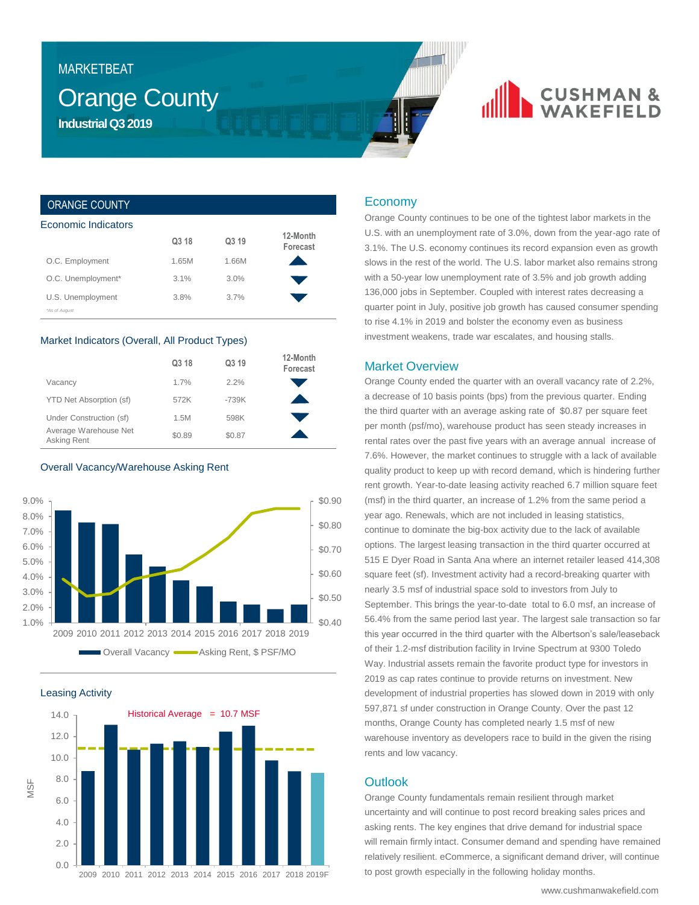# **MARKETBEAT**

# Orange County **Industrial Q3 2019**

# **CUSHMAN &**

## ORANGE COUNTY

| Economic Indicators                | Q3 18 | Q3 19 | 12-Month<br>Forecast |
|------------------------------------|-------|-------|----------------------|
| O.C. Employment                    | 1.65M | 1.66M |                      |
| O.C. Unemployment*                 | 3.1%  | 3.0%  |                      |
| U.S. Unemployment<br>*As of August | 3.8%  | 3.7%  |                      |

#### Market Indicators (Overall, All Product Types)

|                                      | Q3 18  | Q3 19   | 12-Month<br>Forecast |
|--------------------------------------|--------|---------|----------------------|
| Vacancy                              | 1.7%   | 2.2%    |                      |
| YTD Net Absorption (sf)              | 572K   | $-739K$ |                      |
| Under Construction (sf)              | 1.5M   | 598K    |                      |
| Average Warehouse Net<br>Asking Rent | \$0.89 | \$0.87  |                      |

### Overall Vacancy/Warehouse Asking Rent



Leasing Activity



## Economy

Orange County continues to be one of the tightest labor markets in the U.S. with an unemployment rate of 3.0%, down from the year-ago rate of 3.1%. The U.S. economy continues its record expansion even as growth slows in the rest of the world. The U.S. labor market also remains strong with a 50-year low unemployment rate of 3.5% and job growth adding 136,000 jobs in September. Coupled with interest rates decreasing a quarter point in July, positive job growth has caused consumer spending to rise 4.1% in 2019 and bolster the economy even as business investment weakens, trade war escalates, and housing stalls.

# Market Overview

Orange County ended the quarter with an overall vacancy rate of 2.2%, a decrease of 10 basis points (bps) from the previous quarter. Ending the third quarter with an average asking rate of \$0.87 per square feet per month (psf/mo), warehouse product has seen steady increases in rental rates over the past five years with an average annual increase of 7.6%. However, the market continues to struggle with a lack of available quality product to keep up with record demand, which is hindering further rent growth. Year-to-date leasing activity reached 6.7 million square feet (msf) in the third quarter, an increase of 1.2% from the same period a year ago. Renewals, which are not included in leasing statistics, continue to dominate the big-box activity due to the lack of available options. The largest leasing transaction in the third quarter occurred at 515 E Dyer Road in Santa Ana where an internet retailer leased 414,308 square feet (sf). Investment activity had a record-breaking quarter with nearly 3.5 msf of industrial space sold to investors from July to September. This brings the year-to-date total to 6.0 msf, an increase of 56.4% from the same period last year. The largest sale transaction so far this year occurred in the third quarter with the Albertson's sale/leaseback of their 1.2-msf distribution facility in Irvine Spectrum at 9300 Toledo Way. Industrial assets remain the favorite product type for investors in 2019 as cap rates continue to provide returns on investment. New development of industrial properties has slowed down in 2019 with only 597,871 sf under construction in Orange County. Over the past 12 months, Orange County has completed nearly 1.5 msf of new warehouse inventory as developers race to build in the given the rising rents and low vacancy.

## **Outlook**

Orange County fundamentals remain resilient through market uncertainty and will continue to post record breaking sales prices and asking rents. The key engines that drive demand for industrial space will remain firmly intact. Consumer demand and spending have remained relatively resilient. eCommerce, a significant demand driver, will continue to post growth especially in the following holiday months.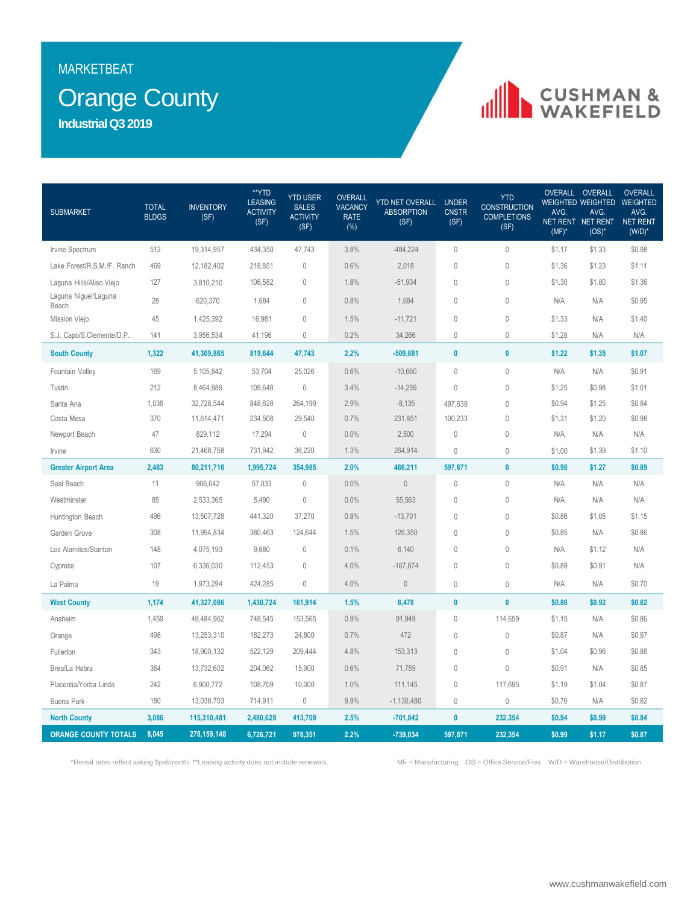# MARKETBEAT

# **Orange County**

**Industrial Q3 2019**

# **IN CUSHMAN &**<br>WAKEFIELD

| <b>SUBMARKET</b>              | <b>TOTAL</b><br><b>BLDGS</b> | <b>INVENTORY</b><br>(SF) | **YTD<br><b>LEASING</b><br><b>ACTIVITY</b><br>(SF) | <b>YTD USER</b><br><b>SALES</b><br><b>ACTIVITY</b><br>(SF) | <b>OVERALL</b><br><b>VACANCY</b><br><b>RATE</b><br>(%) | <b>YTD NET OVERALL</b><br><b>ABSORPTION</b><br>(SF) | <b>UNDER</b><br><b>CNSTR</b><br>(SF) | <b>YTD</b><br><b>CONSTRUCTION</b><br><b>COMPLETIONS</b><br>(SF) | AVG.<br>$(MF)^*$ | OVERALL OVERALL<br><b>WEIGHTED WEIGHTED</b><br>AVG.<br><b>NET RENT NET RENT</b><br>$(OS)^*$ | <b>OVERALL</b><br><b>WEIGHTED</b><br>AVG.<br>NET RENT<br>$(W/D)^*$ |
|-------------------------------|------------------------------|--------------------------|----------------------------------------------------|------------------------------------------------------------|--------------------------------------------------------|-----------------------------------------------------|--------------------------------------|-----------------------------------------------------------------|------------------|---------------------------------------------------------------------------------------------|--------------------------------------------------------------------|
| Irvine Spectrum               | 512                          | 19,314,957               | 434,350                                            | 47,743                                                     | 3.8%                                                   | $-484,224$                                          | $\mathbb O$                          | 0                                                               | \$1.17           | \$1.33                                                                                      | \$0.98                                                             |
| Lake Forest/R.S.M./F. Ranch   | 469                          | 12,182,402               | 218,851                                            | $\mathbf 0$                                                | 0.6%                                                   | 2,018                                               | $\mathbb O$                          | $\mathbb O$                                                     | \$1.36           | \$1.23                                                                                      | \$1.11                                                             |
| Laguna Hills/Aliso Viejo      | 127                          | 3,810,210                | 106,582                                            | $\mathbf 0$                                                | 1.8%                                                   | $-51,904$                                           | $\mathbb O$                          | $\mathbf{0}$                                                    | \$1.30           | \$1.80                                                                                      | \$1.36                                                             |
| Laguna Niguel/Laguna<br>Beach | 28                           | 620,370                  | 1,684                                              | $\mathbf 0$                                                | 0.8%                                                   | 1,684                                               | $\theta$                             | $\mathbf 0$                                                     | N/A              | N/A                                                                                         | \$0.95                                                             |
| Mission Viejo                 | 45                           | 1,425,392                | 16,981                                             | $\mathbf 0$                                                | 1.5%                                                   | $-11,721$                                           | $\mathbf{0}$                         | $\mathbf 0$                                                     | \$1.33           | N/A                                                                                         | \$1.40                                                             |
| S.J. Capo/S.Clemente/D.P.     | 141                          | 3,956,534                | 41,196                                             | $\mathbb O$                                                | 0.2%                                                   | 34,266                                              | $\theta$                             | $\mathbb O$                                                     | \$1.28           | N/A                                                                                         | N/A                                                                |
| <b>South County</b>           | 1,322                        | 41,309,865               | 819,644                                            | 47,743                                                     | 2.2%                                                   | $-509,881$                                          | $\pmb{0}$                            | $\bf{0}$                                                        | \$1.22           | \$1.35                                                                                      | \$1.07                                                             |
| Fountain Valley               | 169                          | 5,105,842                | 53,704                                             | 25,026                                                     | 0.6%                                                   | $-10,660$                                           | $\mathbb O$                          | $\mathbb O$                                                     | N/A              | N/A                                                                                         | \$0.91                                                             |
| Tustin                        | 212                          | 8,464,989                | 109,648                                            | $\mathbf{0}$                                               | 3.4%                                                   | $-14,259$                                           | $\mathbf{0}$                         | $\mathbf{0}$                                                    | \$1.25           | \$0.98                                                                                      | \$1.01                                                             |
| Santa Ana                     | 1,036                        | 32,728,544               | 848,628                                            | 264,199                                                    | 2.9%                                                   | $-8,135$                                            | 497,638                              | $\mathbb O$                                                     | \$0.94           | \$1.25                                                                                      | \$0.84                                                             |
| Costa Mesa                    | 370                          | 11,614,471               | 234,508                                            | 29,540                                                     | 0.7%                                                   | 231,851                                             | 100,233                              | $\mathbf{0}$                                                    | \$1.31           | \$1.20                                                                                      | \$0.98                                                             |
| Newport Beach                 | 47                           | 829,112                  | 17,294                                             | $\mathbb O$                                                | 0.0%                                                   | 2,500                                               | $\mathbb O$                          | $\mathbb O$                                                     | N/A              | N/A                                                                                         | N/A                                                                |
| Irvine                        | 630                          | 21,468,758               | 731,942                                            | 36,220                                                     | 1.3%                                                   | 264,914                                             | $\theta$                             | $\mathbf 0$                                                     | \$1.00           | \$1.39                                                                                      | \$1.10                                                             |
| <b>Greater Airport Area</b>   | 2,463                        | 80,211,716               | 1,995,724                                          | 354,985                                                    | 2.0%                                                   | 466,211                                             | 597,871                              | $\mathbf{0}$                                                    | \$0.98           | \$1.27                                                                                      | \$0.89                                                             |
| Seal Beach                    | 11                           | 906,642                  | 57,033                                             | 0                                                          | 0.0%                                                   | $\mathbb O$                                         | 0                                    | $\mathbb O$                                                     | N/A              | N/A                                                                                         | N/A                                                                |
| Westminster                   | 85                           | 2,533,365                | 5,490                                              | $\theta$                                                   | 0.0%                                                   | 55,563                                              | $\theta$                             | $\mathbf{0}$                                                    | N/A              | N/A                                                                                         | N/A                                                                |
| Huntington Beach              | 496                          | 13,507,728               | 441,320                                            | 37,270                                                     | 0.8%                                                   | $-13,701$                                           | $\mathbb O$                          | $\mathbf{0}$                                                    | \$0.86           | \$1.05                                                                                      | \$1.15                                                             |
| Garden Grove                  | 308                          | 11,994,834               | 380,463                                            | 124,644                                                    | 1.5%                                                   | 126,350                                             | $\mathbb O$                          | $\mathbb O$                                                     | \$0.85           | N/A                                                                                         | \$0.86                                                             |
| Los Alamitos/Stanton          | 148                          | 4,075,193                | 9,680                                              | $\mathbf 0$                                                | 0.1%                                                   | 6,140                                               | $\mathbf{0}$                         | $\mathbf{0}$                                                    | N/A              | \$1.12                                                                                      | N/A                                                                |
| Cypress                       | 107                          | 6,336,030                | 112,453                                            | $\mathbf 0$                                                | 4.0%                                                   | $-167,874$                                          | $\theta$                             | $\mathbf{0}$                                                    | \$0.89           | \$0.91                                                                                      | N/A                                                                |
| La Palma                      | 19                           | 1,973,294                | 424,285                                            | $\mathbf 0$                                                | 4.0%                                                   | $\mathbf{0}$                                        | $\theta$                             | 0                                                               | N/A              | N/A                                                                                         | \$0.70                                                             |
| <b>West County</b>            | 1,174                        | 41,327,086               | 1,430,724                                          | 161,914                                                    | 1.5%                                                   | 6,478                                               | $\pmb{0}$                            | $\mathbf{0}$                                                    | \$0.86           | \$0.92                                                                                      | \$0.82                                                             |
| Anaheim                       | 1,459                        | 49,484,962               | 748,545                                            | 153,565                                                    | 0.9%                                                   | 91,949                                              | $\mathbf{0}$                         | 114,659                                                         | \$1.15           | N/A                                                                                         | \$0.86                                                             |
| Orange                        | 498                          | 13,253,310               | 182,273                                            | 24,800                                                     | 0.7%                                                   | 472                                                 | $\mathbf{0}$                         | $\mathbf{0}$                                                    | \$0.87           | N/A                                                                                         | \$0.97                                                             |
| Fullerton                     | 343                          | 18,900,132               | 522,129                                            | 209,444                                                    | 4.8%                                                   | 153,313                                             | $\mathbb O$                          | $\mathbb O$                                                     | \$1.04           | \$0.96                                                                                      | \$0.86                                                             |
| Brea/La Habra                 | 364                          | 13,732,602               | 204,062                                            | 15,900                                                     | 0.6%                                                   | 71,759                                              | $\mathbf{0}$                         | $\mathbf 0$                                                     | \$0.91           | N/A                                                                                         | \$0.85                                                             |
| Placentia/Yorba Linda         | 242                          | 6,900,772                | 108,709                                            | 10,000                                                     | 1.0%                                                   | 111,145                                             | $\theta$                             | 117,695                                                         | \$1.19           | \$1.04                                                                                      | \$0.87                                                             |
| <b>Buena Park</b>             | 180                          | 13,038,703               | 714,911                                            | $\mathbb O$                                                | 9.9%                                                   | $-1,130,480$                                        | 0                                    | $\mathbf{0}$                                                    | \$0.76           | N/A                                                                                         | \$0.82                                                             |
| <b>North County</b>           | 3,086                        | 115,310,481              | 2,480,629                                          | 413,709                                                    | 2.5%                                                   | $-701,842$                                          | $\mathbf{0}$                         | 232,354                                                         | \$0.94           | \$0.99                                                                                      | \$0.84                                                             |
| <b>ORANGE COUNTY TOTALS</b>   | 8,045                        | 278,159,148              | 6,726,721                                          | 978,351                                                    | 2.2%                                                   | $-739,034$                                          | 597,871                              | 232,354                                                         | \$0.99           | \$1.17                                                                                      | \$0.87                                                             |

\*Rental rates reflect asking \$psf/month \*\*Leasing activity does not include renewals. MF = Manufacturing OS = Office Service/Flex W/D = Warehouse/Distribution